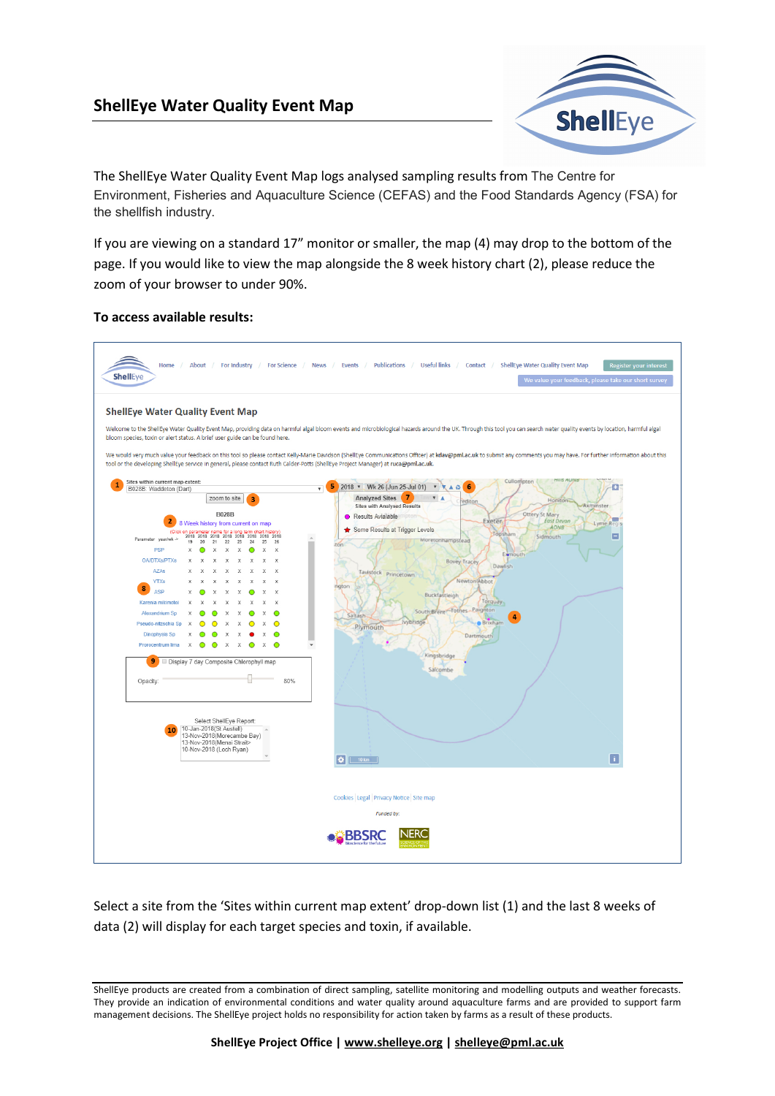## ShellEye Water Quality Event Map



The ShellEye Water Quality Event Map logs analysed sampling results from The Centre for Environment, Fisheries and Aquaculture Science (CEFAS) and the Food Standards Agency (FSA) for the shellfish industry.

If you are viewing on a standard 17" monitor or smaller, the map (4) may drop to the bottom of the page. If you would like to view the map alongside the 8 week history chart (2), please reduce the zoom of your browser to under 90%.

## To access available results:



Select a site from the 'Sites within current map extent' drop-down list (1) and the last 8 weeks of data (2) will display for each target species and toxin, if available.

ShellEye products are created from a combination of direct sampling, satellite monitoring and modelling outputs and weather forecasts. They provide an indication of environmental conditions and water quality around aquaculture farms and are provided to support farm management decisions. The ShellEye project holds no responsibility for action taken by farms as a result of these products.